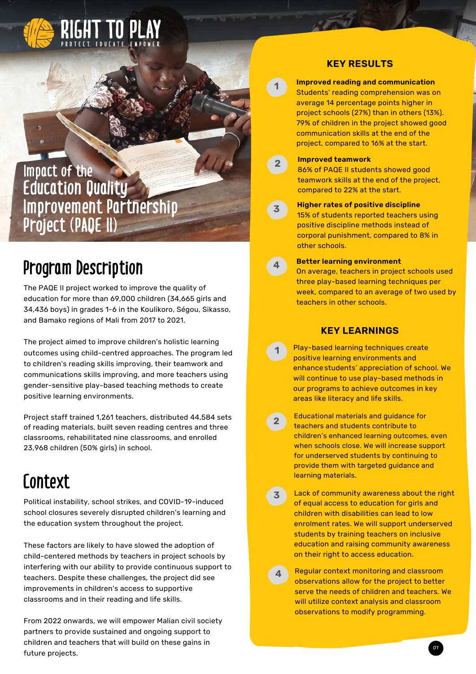

### **Impact of the Education Quality Improvement Partnership Project (PAQE II)**

## **Program Description**

The PAQE II project worked to improve the quality of education for more than 69,000 children (34,665 girls and 34,436 boys) in grades 1-6 in the Koulikoro, Ségou, Sikasso, and Bamako regions of Mali from 2017 to 2021.

The project aimed to improve children's holistic learning outcomes using child-centred approaches. The program led to children's reading skills improving, their teamwork and communications skills improving, and more teachers using gender-sensitive play-based teaching methods to create positive learning environments.

Project staff trained 1,261 teachers, distributed 44,584 sets of reading materials, built seven reading centres and three classrooms, rehabilitated nine classrooms, and enrolled 23,968 children (50% girls) in school.

## **Context**

Political instability, school strikes, and COVID-19-induced school closures severely disrupted children's learning and the education system throughout the project.

These factors are likely to have slowed the adoption of child-centered methods by teachers in project schools by interfering with our ability to provide continuous support to teachers. Despite these challenges, the project did see improvements in children's access to supportive classrooms and in their reading and life skills.

From 2022 onwards, we will empower Malian civil society partners to provide sustained and ongoing support to children and teachers that will build on these gains in future projects.

#### **KEY RESULTS**

**1**

**2**

**3**

**4**

**1**

**Improved reading and communication** Students' reading comprehension was on average 14 percentage points higher in project schools (27%) than in others (13%). 79% of children in the project showed good communication skills at the end of the project, compared to 16% at the start.

#### **Improved teamwork**

86% of PAQE II students showed good teamwork skills at the end of the project, compared to 22% at the start.

**Higher rates of positive discipline** 15% of students reported teachers using positive discipline methods instead of corporal punishment, compared to 8% in other schools.

#### **Better learning environment**

On average, teachers in project schools used three play-based learning techniques per week, compared to an average of two used by teachers in other schools.

#### **KEY LEARNINGS**

- Play-based learning techniques create positive learning environments and enhance students' appreciation of school. We will continue to use play-based methods in our programs to achieve outcomes in key areas like literacy and life skills.
- Educational materials and guidance for teachers and students contribute to children's enhanced learning outcomes, even when schools close. We will increase support for underserved students by continuing to provide them with targeted guidance and learning materials. **2**
- Lack of community awareness about the right of equal access to education for girls and children with disabilities can lead to low enrolment rates. We will support underserved students by training teachers on inclusive education and raising community awareness on their right to access education. **3**
- Regular context monitoring and classroom observations allow for the project to better serve the needs of children and teachers. We will utilize context analysis and classroom observations to modify programming. **4**

*01*